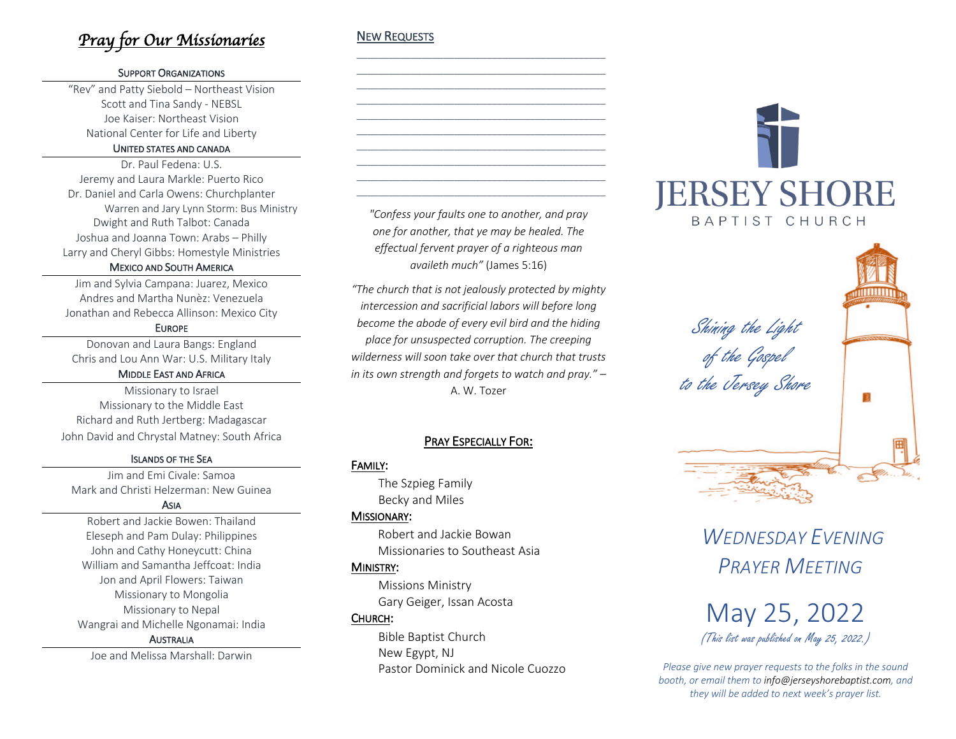# *Pray for Our Missionaries*

### SUPPORT ORGANIZATIONS

"Rev" and Patty Siebold – Northeast Vision Scott and Tina Sandy - NEBSL Joe Kaiser: Northeast Vision National Center for Life and Liberty

#### UNITED STATES AND CANADA

Dr. Paul Fedena: U.S. Jeremy and Laura Markle: Puerto Rico Dr. Daniel and Carla Owens: Churchplanter Warren and Jary Lynn Storm: Bus Ministry Dwight and Ruth Talbot: Canada Joshua and Joanna Town: Arabs – Philly Larry and Cheryl Gibbs: Homestyle Ministries

### MEXICO AND SOUTH AMERICA

Jim and Sylvia Campana: Juarez, Mexico Andres and Martha Nunèz: Venezuela Jonathan and Rebecca Allinson: Mexico City

### EUROPE

Donovan and Laura Bangs: England Chris and Lou Ann War: U.S. Military Italy

### MIDDLE EAST AND AFRICA

Missionary to Israel Missionary to the Middle East Richard and Ruth Jertberg: Madagascar John David and Chrystal Matney: South Africa

### ISLANDS OF THE SEA

Jim and Emi Civale: Samoa Mark and Christi Helzerman: New Guinea

#### ASIA

Robert and Jackie Bowen: Thailand Eleseph and Pam Dulay: Philippines John and Cathy Honeycutt: China William and Samantha Jeffcoat: India Jon and April Flowers: Taiwan Missionary to Mongolia Missionary to Nepal Wangrai and Michelle Ngonamai: India AUSTRALIA

Joe and Melissa Marshall: Darwin

## NEW REQUESTS

*"Confess your faults one to another, and pray one for another, that ye may be healed. The effectual fervent prayer of a righteous man availeth much"* (James 5:16)

\_\_\_\_\_\_\_\_\_\_\_\_\_\_\_\_\_\_\_\_\_\_\_\_\_\_\_\_\_\_\_\_\_\_\_\_\_\_\_\_\_\_\_\_\_\_ \_\_\_\_\_\_\_\_\_\_\_\_\_\_\_\_\_\_\_\_\_\_\_\_\_\_\_\_\_\_\_\_\_\_\_\_\_\_\_\_\_\_\_\_\_\_ \_\_\_\_\_\_\_\_\_\_\_\_\_\_\_\_\_\_\_\_\_\_\_\_\_\_\_\_\_\_\_\_\_\_\_\_\_\_\_\_\_\_\_\_\_\_ \_\_\_\_\_\_\_\_\_\_\_\_\_\_\_\_\_\_\_\_\_\_\_\_\_\_\_\_\_\_\_\_\_\_\_\_\_\_\_\_\_\_\_\_\_\_ \_\_\_\_\_\_\_\_\_\_\_\_\_\_\_\_\_\_\_\_\_\_\_\_\_\_\_\_\_\_\_\_\_\_\_\_\_\_\_\_\_\_\_\_\_\_ \_\_\_\_\_\_\_\_\_\_\_\_\_\_\_\_\_\_\_\_\_\_\_\_\_\_\_\_\_\_\_\_\_\_\_\_\_\_\_\_\_\_\_\_\_\_ \_\_\_\_\_\_\_\_\_\_\_\_\_\_\_\_\_\_\_\_\_\_\_\_\_\_\_\_\_\_\_\_\_\_\_\_\_\_\_\_\_\_\_\_\_\_ \_\_\_\_\_\_\_\_\_\_\_\_\_\_\_\_\_\_\_\_\_\_\_\_\_\_\_\_\_\_\_\_\_\_\_\_\_\_\_\_\_\_\_\_\_\_ \_\_\_\_\_\_\_\_\_\_\_\_\_\_\_\_\_\_\_\_\_\_\_\_\_\_\_\_\_\_\_\_\_\_\_\_\_\_\_\_\_\_\_\_\_\_ \_\_\_\_\_\_\_\_\_\_\_\_\_\_\_\_\_\_\_\_\_\_\_\_\_\_\_\_\_\_\_\_\_\_\_\_\_\_\_\_\_\_\_\_\_\_

*"The church that is not jealously protected by mighty intercession and sacrificial labors will before long become the abode of every evil bird and the hiding place for unsuspected corruption. The creeping wilderness will soon take over that church that trusts in its own strength and forgets to watch and pray." –* A. W. Tozer

# PRAY ESPECIALLY FOR:

### FAMILY:

The Szpieg Family Becky and Miles

### MISSIONARY:

Robert and Jackie Bowan Missionaries to Southeast Asia

### MINISTRY:

Missions Ministry Gary Geiger, Issan Acosta

# CHURCH:

 Bible Baptist Church New Egypt, NJ Pastor Dominick and Nicole Cuozzo



Shining the Light of the Gospel to the Jersey Shore





*Please give new prayer requests to the folks in the sound booth, or email them to info@jerseyshorebaptist.com, and they will be added to next week's prayer list.*